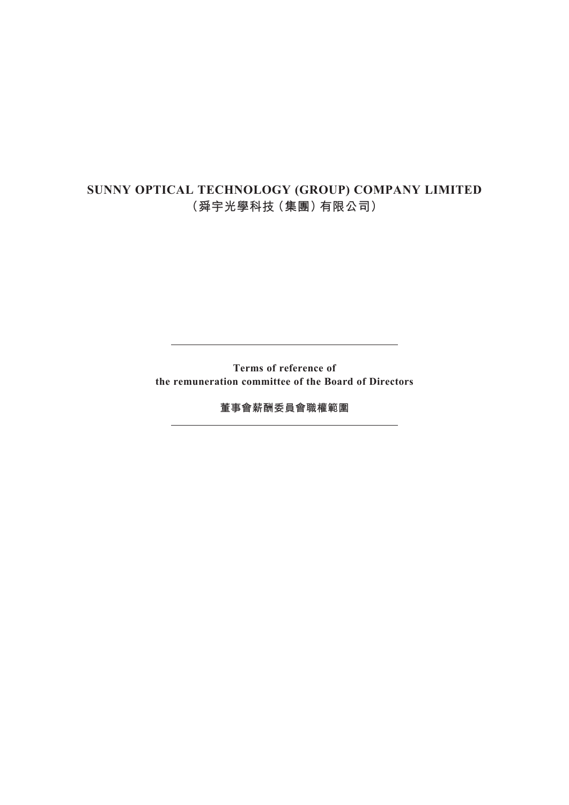# **SUNNY OPTICAL TECHNOLOGY (GROUP) COMPANY LIMITED (舜宇光學科技(集團)有限公司)**

**Terms of reference of the remuneration committee of the Board of Directors**

**董事會薪酬委員會職權範圍**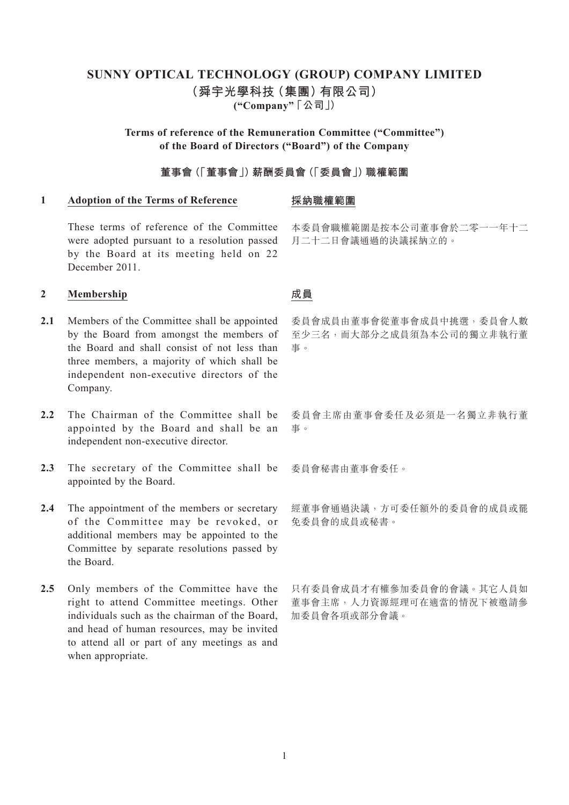# **SUNNY OPTICAL TECHNOLOGY (GROUP) COMPANY LIMITED (舜宇光學科技(集團)有限公司) ("Company" 「公司」)**

# **Terms of reference of the Remuneration Committee ("Committee") of the Board of Directors ("Board") of the Company**

# **董事會(「董事會」)薪酬委員會(「委員會」)職權範圍**

### **1 Adoption of the Terms of Reference**

#### **採納職權範圍**

These terms of reference of the Committee were adopted pursuant to a resolution passed by the Board at its meeting held on 22 December 2011.

# **2 Membership**

- 2.1 Members of the Committee shall be appointed by the Board from amongst the members of the Board and shall consist of not less than three members, a majority of which shall be independent non-executive directors of the Company.
- 2.2 The Chairman of the Committee shall be appointed by the Board and shall be an independent non-executive director.
- 2.3 The secretary of the Committee shall be appointed by the Board.
- 2.4 The appointment of the members or secretary of the Committee may be revoked, or additional members may be appointed to the Committee by separate resolutions passed by the Board.
- 2.5 Only members of the Committee have the right to attend Committee meetings. Other individuals such as the chairman of the Board, and head of human resources, may be invited to attend all or part of any meetings as and when appropriate.

本委員會職權範圍是按本公司董事會於二零一一年十二 月二十二日會議通過的決議採納立的。

# **成員**

委員會成員由董事會從董事會成員中挑選,委員會人數 至少三名,而大部分之成員須為本公司的獨立非執行董 事。

委員會主席由董事會委任及必須是一名獨立非執行董 事。

委員會秘書由董事會委任。

經董事會通過決議,方可委任額外的委員會的成員或罷 免委員會的成員或秘書。

只有委員會成員才有權參加委員會的會議。其它人員如 董事會主席,人力資源經理可在適當的情況下被邀請參 加委員會各項或部分會議。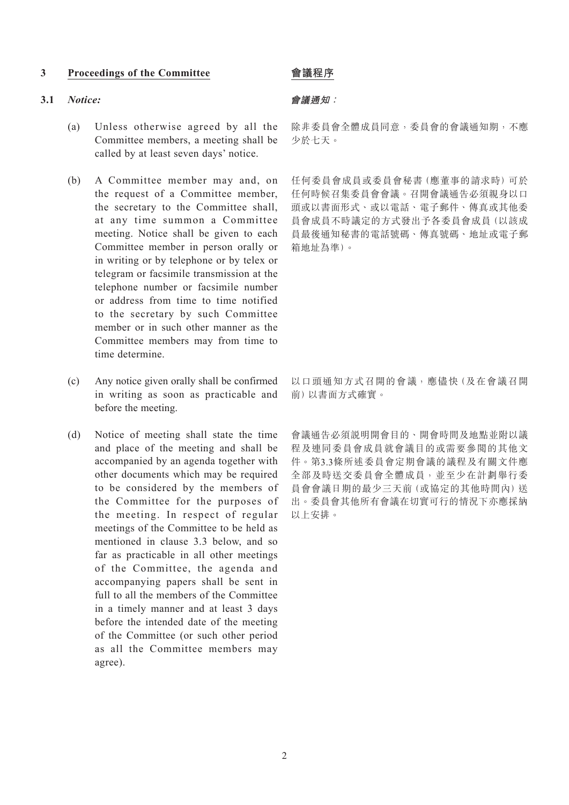#### **3 Proceedings of the Committee**

#### **3.1** *Notice:*

- (a) Unless otherwise agreed by all the Committee members, a meeting shall be called by at least seven days' notice.
- (b) A Committee member may and, on the request of a Committee member, the secretary to the Committee shall, at any time summon a Committee meeting. Notice shall be given to each Committee member in person orally or in writing or by telephone or by telex or telegram or facsimile transmission at the telephone number or facsimile number or address from time to time notified to the secretary by such Committee member or in such other manner as the Committee members may from time to time determine.
- (c) Any notice given orally shall be confirmed in writing as soon as practicable and before the meeting.
- (d) Notice of meeting shall state the time and place of the meeting and shall be accompanied by an agenda together with other documents which may be required to be considered by the members of the Committee for the purposes of the meeting. In respect of regular meetings of the Committee to be held as mentioned in clause 3.3 below, and so far as practicable in all other meetings of the Committee, the agenda and accompanying papers shall be sent in full to all the members of the Committee in a timely manner and at least 3 days before the intended date of the meeting of the Committee (or such other period as all the Committee members may agree).

# **會議程序**

### **會議通知:**

除非委員會全體成員同意,委員會的會議通知期,不應 少於七天。

任何委員會成員或委員會秘書(應董事的請求時)可於 任何時候召集委員會會議。召開會議通告必須親身以口 頭或以書面形式、或以電話、電子郵件、傳真或其他委 員會成員不時議定的方式發出予各委員會成員(以該成 員最後通知秘書的電話號碼、傳真號碼、地址或電子郵 箱地址為準)。

以口頭通知方式召開的會議,應儘快(及在會議召開 前)以書面方式確實。

會議通告必須說明開會目的、開會時間及地點並附以議 程及連同委員會成員就會議目的或需要參閱的其他文 件。第3.3條所述委員會定期會議的議程及有關文件應 全部及時送交委員會全體成員,並至少在計劃舉行委 員會會議日期的最少三天前(或協定的其他時間內)送 出。委員會其他所有會議在切實可行的情況下亦應採納 以上安排。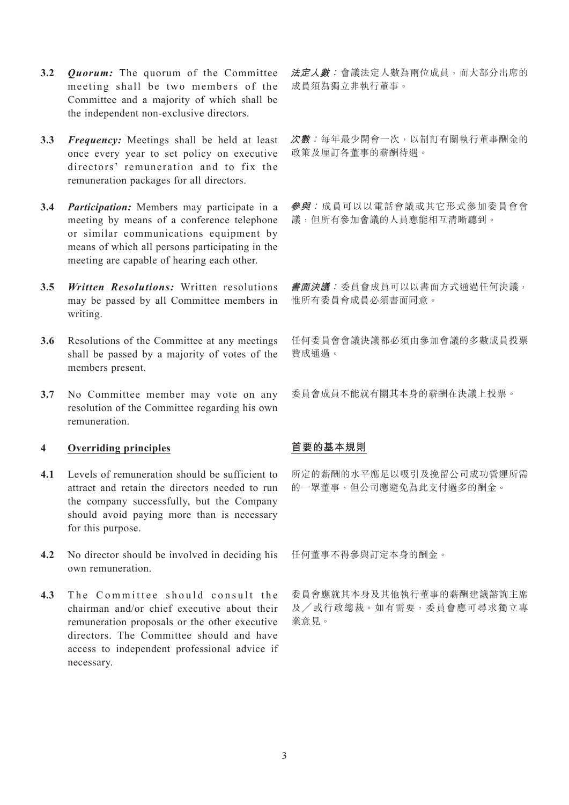- **3.2** *Quorum:* The quorum of the Committee meeting shall be two members of the Committee and a majority of which shall be the independent non-exclusive directors.
- **3.3** *Frequency:* Meetings shall be held at least once every year to set policy on executive directors' remuneration and to fix the remuneration packages for all directors.
- **3.4** *Participation:* Members may participate in a meeting by means of a conference telephone or similar communications equipment by means of which all persons participating in the meeting are capable of hearing each other.
- **3.5** *Written Resolutions:* Written resolutions may be passed by all Committee members in writing.
- **3.6** Resolutions of the Committee at any meetings shall be passed by a majority of votes of the members present.
- **3.7** No Committee member may vote on any resolution of the Committee regarding his own remuneration.

# **4 Overriding principles**

- **4.1** Levels of remuneration should be sufficient to attract and retain the directors needed to run the company successfully, but the Company should avoid paying more than is necessary for this purpose.
- **4.2** No director should be involved in deciding his own remuneration.
- 4.3 The Committee should consult the chairman and/or chief executive about their remuneration proposals or the other executive directors. The Committee should and have access to independent professional advice if necessary.

**法定人數:**會議法定人數為兩位成員,而大部分出席的 成員須為獨立非執行董事。

**次數:**每年最少開會一次,以制訂有關執行董事酬金的 政策及厘訂各董事的薪酬待遇。

**參與:** 成員可以以電話會議或其它形式參加委員會會 議,但所有參加會議的人員應能相互清晰聽到。

**書面決議:**委員會成員可以以書面方式通過任何決議, 惟所有委員會成員必須書面同意。

任何委員會會議決議都必須由參加會議的多數成員投票 贊成通過。

委員會成員不能就有關其本身的薪酬在決議上投票。

# **首要的基本規則**

所定的薪酬的水平應足以吸引及挽留公司成功營運所需 的一眾董事,但公司應避免為此支付過多的酬金。

任何董事不得參與訂定本身的酬金。

委員會應就其本身及其他執行董事的薪酬建議諮詢主席 及╱或行政總裁。如有需要,委員會應可尋求獨立專 業意見。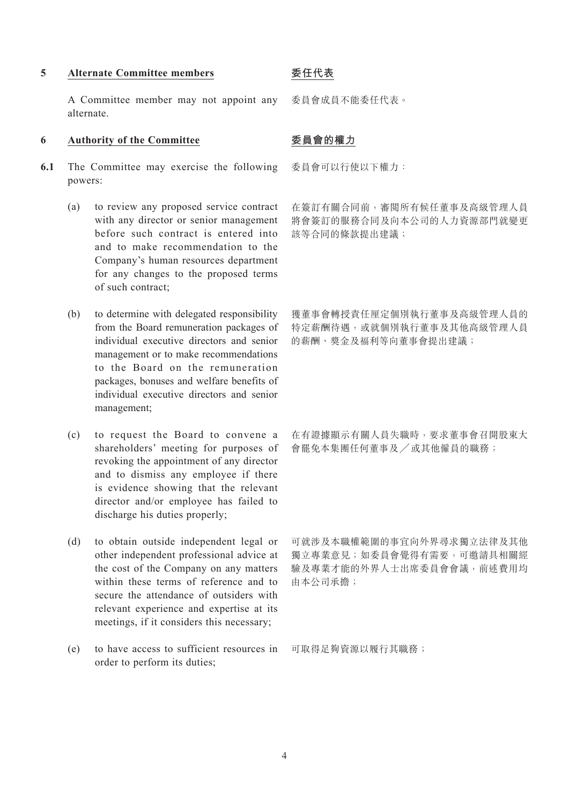#### **5 Alternate Committee members**

A Committee member may not appoint any alternate.

#### **6 Authority of the Committee**

- **6.1** The Committee may exercise the following powers:
	- (a) to review any proposed service contract with any director or senior management before such contract is entered into and to make recommendation to the Company's human resources department for any changes to the proposed terms of such contract;
	- (b) to determine with delegated responsibility from the Board remuneration packages of individual executive directors and senior management or to make recommendations to the Board on the remuneration packages, bonuses and welfare benefits of individual executive directors and senior management;
	- (c) to request the Board to convene a shareholders' meeting for purposes of revoking the appointment of any director and to dismiss any employee if there is evidence showing that the relevant director and/or employee has failed to discharge his duties properly;
	- (d) to obtain outside independent legal or other independent professional advice at the cost of the Company on any matters within these terms of reference and to secure the attendance of outsiders with relevant experience and expertise at its meetings, if it considers this necessary;
	- (e) to have access to sufficient resources in order to perform its duties;

# **委任代表**

委員會成員不能委任代表。

# **委員會的權力**

委員會可以行使以下權力:

在簽訂有關合同前,審閱所有候任董事及高級管理人員 將會簽訂的服務合同及向本公司的人力資源部門就變更 該等合同的條款提出建議;

獲董事會轉授責任厘定個別執行董事及高級管理人員的 特定薪酬待遇,或就個別執行董事及其他高級管理人員 的薪酬、獎金及福利等向董事會提出建議;

在有證據顯示有關人員失職時,要求董事會召開股東大 會罷免本集團任何董事及 / 或其他僱員的職務;

可就涉及本職權範圍的事宜向外界尋求獨立法律及其他 獨立專業意見;如委員會覺得有需要,可邀請具相關經 驗及專業才能的外界人士出席委員會會議,前述費用均 由本公司承擔;

可取得足夠資源以履行其職務;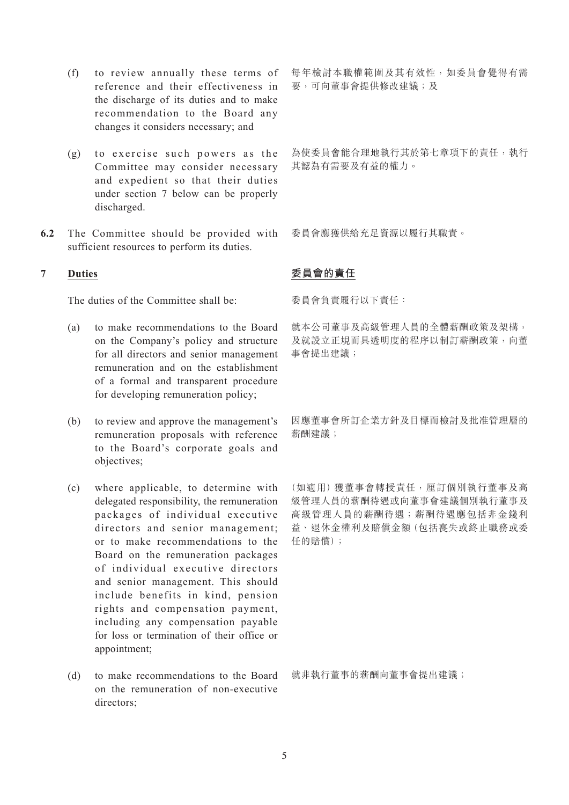- (f) to review annually these terms of reference and their effectiveness in the discharge of its duties and to make recommendation to the Board any changes it considers necessary; and
- (g) to exercise such powers as the Committee may consider necessary and expedient so that their duties under section 7 below can be properly discharged.
- **6.2** The Committee should be provided with sufficient resources to perform its duties.

# **7 Duties**

The duties of the Committee shall be:

- (a) to make recommendations to the Board on the Company's policy and structure for all directors and senior management remuneration and on the establishment of a formal and transparent procedure for developing remuneration policy;
- (b) to review and approve the management's remuneration proposals with reference to the Board's corporate goals and objectives;
- (c) where applicable, to determine with delegated responsibility, the remuneration packages of individual executive directors and senior management; or to make recommendations to the Board on the remuneration packages of individual executive directors and senior management. This should include benefits in kind, pension rights and compensation payment, including any compensation payable for loss or termination of their office or appointment;
- (d) to make recommendations to the Board on the remuneration of non-executive directors;

每年檢討本職權範圍及其有效性,如委員會覺得有需 要,可向董事會提供修改建議;及

為使委員會能合理地執行其於第七章項下的責任,執行 其認為有需要及有益的權力。

委員會應獲供給充足資源以履行其職責。

# **委員會的責任**

委員會負責履行以下責任:

就本公司董事及高級管理人員的全體薪酬政策及架構, 及就設立正規而具透明度的程序以制訂薪酬政策,向董 事會提出建議;

因應董事會所訂企業方針及目標而檢討及批准管理層的 薪酬建議;

(如適用)獲董事會轉授責任,厘訂個別執行董事及高 級管理人員的薪酬待遇或向董事會建議個別執行董事及 高級管理人員的薪酬待遇;薪酬待遇應包括非金錢利 益、退休金權利及賠償金額(包括喪失或終止職務或委 任的賠償);

就非執行董事的薪酬向董事會提出建議;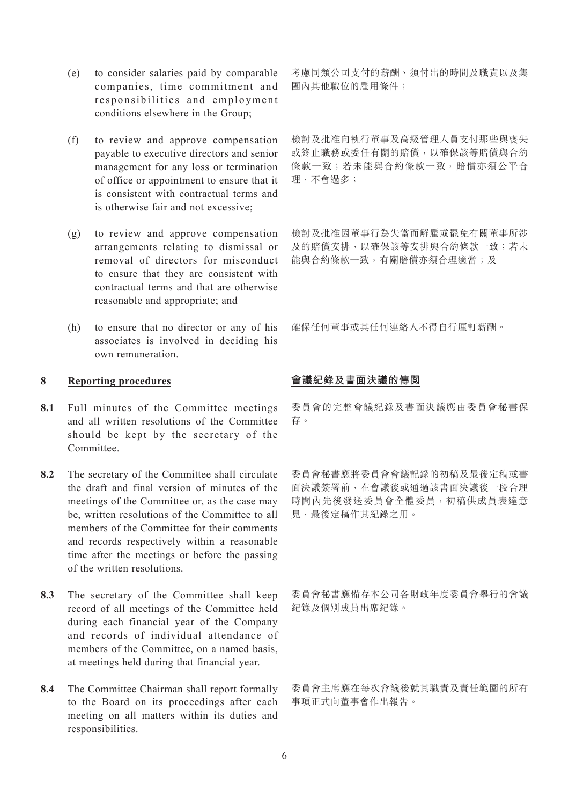- (e) to consider salaries paid by comparable companies, time commitment and responsibilities and employment conditions elsewhere in the Group;
- (f) to review and approve compensation payable to executive directors and senior management for any loss or termination of office or appointment to ensure that it is consistent with contractual terms and is otherwise fair and not excessive;
- (g) to review and approve compensation arrangements relating to dismissal or removal of directors for misconduct to ensure that they are consistent with contractual terms and that are otherwise reasonable and appropriate; and
- (h) to ensure that no director or any of his associates is involved in deciding his own remuneration.

### **8 Reporting procedures**

- 8.1 Full minutes of the Committee meetings and all written resolutions of the Committee should be kept by the secretary of the **Committee**
- **8.2** The secretary of the Committee shall circulate the draft and final version of minutes of the meetings of the Committee or, as the case may be, written resolutions of the Committee to all members of the Committee for their comments and records respectively within a reasonable time after the meetings or before the passing of the written resolutions.
- **8.3** The secretary of the Committee shall keep record of all meetings of the Committee held during each financial year of the Company and records of individual attendance of members of the Committee, on a named basis, at meetings held during that financial year.
- **8.4** The Committee Chairman shall report formally to the Board on its proceedings after each meeting on all matters within its duties and responsibilities.

考慮同類公司支付的薪酬、須付出的時間及職責以及集 團內其他職位的雇用條件;

檢討及批准向執行董事及高級管理人員支付那些與喪失 或終止職務或委任有關的賠償,以確保該等賠償與合約 條款一致;若未能與合約條款一致,賠償亦須公平合 理,不會過多;

檢討及批准因董事行為失當而解雇或罷免有關董事所涉 及的賠償安排,以確保該等安排與合約條款一致;若未 能與合約條款一致,有關賠償亦須合理滴當;及

確保任何董事或其任何連絡人不得自行厘訂薪酬。

# **會議紀錄及書面決議的傳閱**

委員會的完整會議紀錄及書面決議應由委員會秘書保 存。

委員會秘書應將委員會會議記錄的初稿及最後定稿或書 面決議簽署前,在會議後或通過該書面決議後一段合理 時間內先後發送委員會全體委員,初稿供成員表達意 見,最後定稿作其紀錄之用。

委員會秘書應備存本公司各財政年度委員會舉行的會議 紀錄及個別成員出席紀錄。

委員會主席應在每次會議後就其職責及責任範圍的所有 事項正式向董事會作出報告。